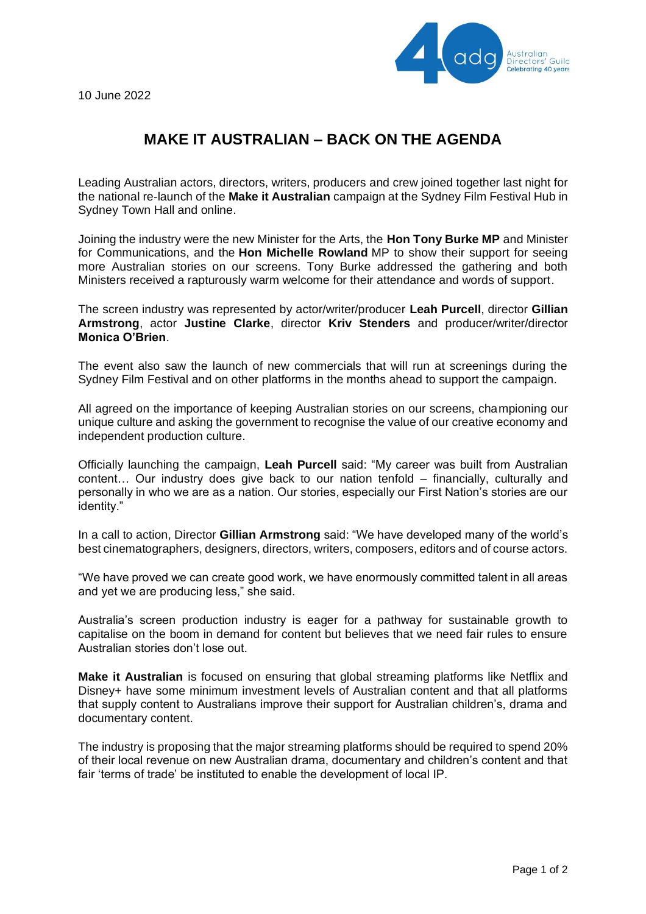

10 June 2022

## **MAKE IT AUSTRALIAN – BACK ON THE AGENDA**

Leading Australian actors, directors, writers, producers and crew joined together last night for the national re-launch of the **Make it Australian** campaign at the Sydney Film Festival Hub in Sydney Town Hall and online.

Joining the industry were the new Minister for the Arts, the **Hon Tony Burke MP** and Minister for Communications, and the **Hon Michelle Rowland** MP to show their support for seeing more Australian stories on our screens. Tony Burke addressed the gathering and both Ministers received a rapturously warm welcome for their attendance and words of support.

The screen industry was represented by actor/writer/producer **Leah Purcell**, director **Gillian Armstrong**, actor **Justine Clarke**, director **Kriv Stenders** and producer/writer/director **Monica O'Brien**.

The event also saw the launch of new commercials that will run at screenings during the Sydney Film Festival and on other platforms in the months ahead to support the campaign.

All agreed on the importance of keeping Australian stories on our screens, championing our unique culture and asking the government to recognise the value of our creative economy and independent production culture.

Officially launching the campaign, **Leah Purcell** said: "My career was built from Australian content… Our industry does give back to our nation tenfold – financially, culturally and personally in who we are as a nation. Our stories, especially our First Nation's stories are our identity."

In a call to action, Director **Gillian Armstrong** said: "We have developed many of the world's best cinematographers, designers, directors, writers, composers, editors and of course actors.

"We have proved we can create good work, we have enormously committed talent in all areas and yet we are producing less," she said.

Australia's screen production industry is eager for a pathway for sustainable growth to capitalise on the boom in demand for content but believes that we need fair rules to ensure Australian stories don't lose out.

**Make it Australian** is focused on ensuring that global streaming platforms like Netflix and Disney+ have some minimum investment levels of Australian content and that all platforms that supply content to Australians improve their support for Australian children's, drama and documentary content.

The industry is proposing that the major streaming platforms should be required to spend 20% of their local revenue on new Australian drama, documentary and children's content and that fair 'terms of trade' be instituted to enable the development of local IP.